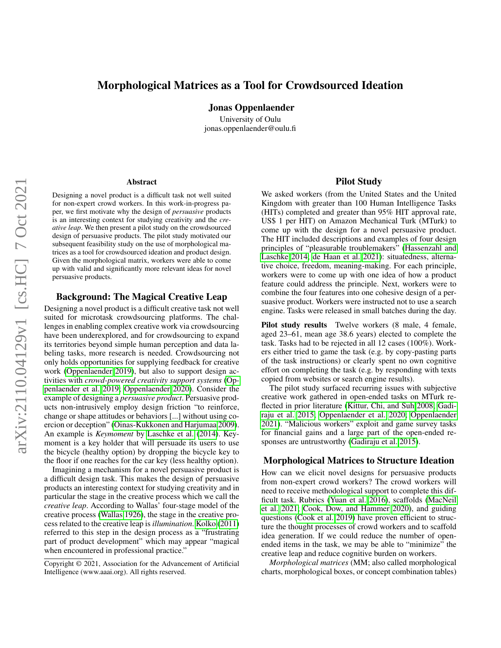# arXiv:2110.04129v1 [cs.HC] 7 Oct 2021 arXiv:2110.04129v1 [cs.HC] 7 Oct 2021

# Morphological Matrices as a Tool for Crowdsourced Ideation

Jonas Oppenlaender

University of Oulu jonas.oppenlaender@oulu.fi

### Abstract

Designing a novel product is a difficult task not well suited for non-expert crowd workers. In this work-in-progress paper, we first motivate why the design of *persuasive* products is an interesting context for studying creativity and the *creative leap*. We then present a pilot study on the crowdsourced design of persuasive products. The pilot study motivated our subsequent feasibility study on the use of morphological matrices as a tool for crowdsourced ideation and product design. Given the morphological matrix, workers were able to come up with valid and significantly more relevant ideas for novel persuasive products.

# Background: The Magical Creative Leap

Designing a novel product is a difficult creative task not well suited for microtask crowdsourcing platforms. The challenges in enabling complex creative work via crowdsourcing have been underexplored, and for crowdsourcing to expand its territories beyond simple human perception and data labeling tasks, more research is needed. Crowdsourcing not only holds opportunities for supplying feedback for creative work [\(Oppenlaender 2019\)](#page-2-0), but also to support design activities with *crowd-powered creativity support systems* [\(Op](#page-2-1)[penlaender et al. 2019;](#page-2-1) [Oppenlaender 2020\)](#page-2-2). Consider the example of designing a *persuasive product*. Persuasive products non-intrusively employ design friction "to reinforce, change or shape attitudes or behaviors [...] without using coercion or deception" [\(Oinas-Kukkonen and Harjumaa 2009\)](#page-2-3). An example is *Keymoment* by [Laschke et al.](#page-2-4) [\(2014\)](#page-2-4). Keymoment is a key holder that will persuade its users to use the bicycle (healthy option) by dropping the bicycle key to the floor if one reaches for the car key (less healthy option).

Imagining a mechanism for a novel persuasive product is a difficult design task. This makes the design of persuasive products an interesting context for studying creativity and in particular the stage in the creative process which we call the *creative leap*. According to Wallas' four-stage model of the creative process [\(Wallas 1926\)](#page-2-5), the stage in the creative process related to the creative leap is *illumination*. [Kolko](#page-2-6) [\(2011\)](#page-2-6) referred to this step in the design process as a "frustrating part of product development" which may appear "magical when encountered in professional practice."

## Pilot Study

We asked workers (from the United States and the United Kingdom with greater than 100 Human Intelligence Tasks (HITs) completed and greater than 95% HIT approval rate, US\$ 1 per HIT) on Amazon Mechanical Turk (MTurk) to come up with the design for a novel persuasive product. The HIT included descriptions and examples of four design principles of "pleasurable troublemakers" [\(Hassenzahl and](#page-2-7) [Laschke 2014;](#page-2-7) [de Haan et al. 2021\)](#page-2-8): situatedness, alternative choice, freedom, meaning-making. For each principle, workers were to come up with one idea of how a product feature could address the principle. Next, workers were to combine the four features into one cohesive design of a persuasive product. Workers were instructed not to use a search engine. Tasks were released in small batches during the day.

Pilot study results Twelve workers (8 male, 4 female, aged 23–61, mean age 38.6 years) elected to complete the task. Tasks had to be rejected in all 12 cases (100%). Workers either tried to game the task (e.g. by copy-pasting parts of the task instructions) or clearly spent no own cognitive effort on completing the task (e.g. by responding with texts copied from websites or search engine results).

The pilot study surfaced recurring issues with subjective creative work gathered in open-ended tasks on MTurk reflected in prior literature [\(Kittur, Chi, and Suh 2008;](#page-2-9) [Gadi](#page-2-10)[raju et al. 2015;](#page-2-10) [Oppenlaender et al. 2020;](#page-2-11) [Oppenlaender](#page-2-12) [2021\)](#page-2-12). "Malicious workers" exploit and game survey tasks for financial gains and a large part of the open-ended responses are untrustworthy [\(Gadiraju et al. 2015\)](#page-2-10).

# Morphological Matrices to Structure Ideation

How can we elicit novel designs for persuasive products from non-expert crowd workers? The crowd workers will need to receive methodological support to complete this difficult task. Rubrics [\(Yuan et al. 2016\)](#page-2-13), scaffolds [\(MacNeil](#page-2-14) [et al. 2021;](#page-2-14) [Cook, Dow, and Hammer 2020\)](#page-2-15), and guiding questions [\(Cook et al. 2019\)](#page-2-16) have proven efficient to structure the thought processes of crowd workers and to scaffold idea generation. If we could reduce the number of openended items in the task, we may be able to "minimize" the creative leap and reduce cognitive burden on workers.

*Morphological matrices* (MM; also called morphological charts, morphological boxes, or concept combination tables)

Copyright © 2021, Association for the Advancement of Artificial Intelligence (www.aaai.org). All rights reserved.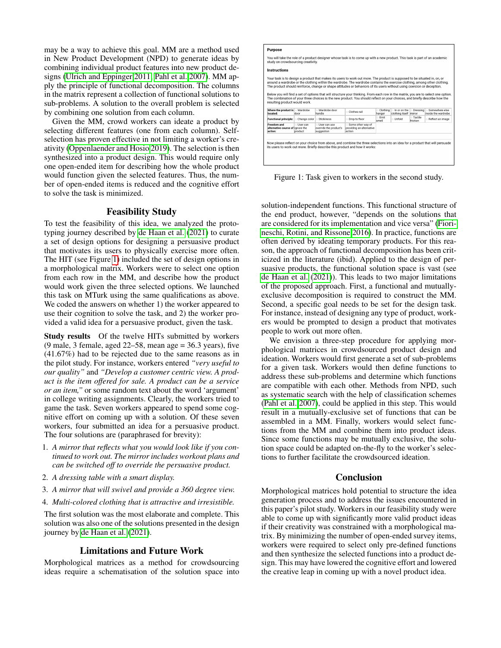may be a way to achieve this goal. MM are a method used in New Product Development (NPD) to generate ideas by combining individual product features into new product designs [\(Ulrich and Eppinger 2011;](#page-2-17) [Pahl et al. 2007\)](#page-2-18). MM apply the principle of functional decomposition. The columns in the matrix represent a collection of functional solutions to sub-problems. A solution to the overall problem is selected by combining one solution from each column.

Given the MM, crowd workers can ideate a product by selecting different features (one from each column). Selfselection has proven effective in not limiting a worker's creativity [\(Oppenlaender and Hosio 2019\)](#page-2-19). The selection is then synthesized into a product design. This would require only one open-ended item for describing how the whole product would function given the selected features. Thus, the number of open-ended items is reduced and the cognitive effort to solve the task is minimized.

# Feasibility Study

To test the feasibility of this idea, we analyzed the prototyping journey described by [de Haan et al.](#page-2-8) [\(2021\)](#page-2-8) to curate a set of design options for designing a persuasive product that motivates its users to physically exercise more often. The HIT (see Figure [1\)](#page-1-0) included the set of design options in a morphological matrix. Workers were to select one option from each row in the MM, and describe how the product would work given the three selected options. We launched this task on MTurk using the same qualifications as above. We coded the answers on whether 1) the worker appeared to use their cognition to solve the task, and 2) the worker provided a valid idea for a persuasive product, given the task.

Study results Of the twelve HITs submitted by workers (9 male, 3 female, aged  $22-58$ , mean age = 36.3 years), five (41.67%) had to be rejected due to the same reasons as in the pilot study. For instance, workers entered *"very useful to our quality"* and *"Develop a customer centric view. A product is the item offered for sale. A product can be a service or an item,"* or some random text about the word 'argument' in college writing assignments. Clearly, the workers tried to game the task. Seven workers appeared to spend some cognitive effort on coming up with a solution. Of these seven workers, four submitted an idea for a persuasive product. The four solutions are (paraphrased for brevity):

- 1. *A mirror that reflects what you would look like if you continued to work out. The mirror includes workout plans and can be switched off to override the persuasive product.*
- 2. *A dressing table with a smart display.*
- 3. *A mirror that will swivel and provide a 360 degree view.*
- 4. *Multi-colored clothing that is attractive and irresistible.*

The first solution was the most elaborate and complete. This solution was also one of the solutions presented in the design journey by [de Haan et al.](#page-2-8) [\(2021\)](#page-2-8).

## Limitations and Future Work

Morphological matrices as a method for crowdsourcing ideas require a schematisation of the solution space into

<span id="page-1-0"></span>

| <b>Purpose</b>                                                    |                       |                                                       |                                                                                                                                                                                                                                                                                                                                                                                                                                                                                                                                         |                 |                        |                            |                             |
|-------------------------------------------------------------------|-----------------------|-------------------------------------------------------|-----------------------------------------------------------------------------------------------------------------------------------------------------------------------------------------------------------------------------------------------------------------------------------------------------------------------------------------------------------------------------------------------------------------------------------------------------------------------------------------------------------------------------------------|-----------------|------------------------|----------------------------|-----------------------------|
| study on crowdsourcing creativity.                                |                       |                                                       | You will take the role of a product designer whose task is to come up with a new product. This task is part of an academic                                                                                                                                                                                                                                                                                                                                                                                                              |                 |                        |                            |                             |
| Instructions                                                      |                       |                                                       |                                                                                                                                                                                                                                                                                                                                                                                                                                                                                                                                         |                 |                        |                            |                             |
| resulting product would work.<br>Where the product is Wardrobe    |                       | ○ Wardrobe door                                       | around a wardrobe or the clothing within the wardrobe. The wardrobe contains the exercise clothing, among other clothing.<br>The product should reinforce, change or shape attitudes or behaviors of its users without using coercion or deception.<br>Below you will find a set of options that will structure your thinking. From each row in the matrix, you are to select one option.<br>The combination of your three choices is the new product. You should reflect on your choices, and briefly describe how the<br>Clothes rail | Clothing        | o In or on the         |                            | o Dressing o Somewhere else |
| located:                                                          | door                  | handle                                                |                                                                                                                                                                                                                                                                                                                                                                                                                                                                                                                                         | hanger          | clothing itself mirror |                            | inside the wardrobe         |
| Functional principle: Change color Stickiness                     |                       |                                                       | <b>Drop to floor</b>                                                                                                                                                                                                                                                                                                                                                                                                                                                                                                                    | ⊙ Emit<br>smell | o Unfold               | <b>Tactile</b><br>friction | Reflect an image            |
| <b>Freedom</b> and<br>alternative course of ignore the<br>action: | o User can<br>product | Liser can use<br>override the product's<br>suggestion | Some other way of<br>providing an alternative<br>action                                                                                                                                                                                                                                                                                                                                                                                                                                                                                 |                 |                        |                            |                             |
|                                                                   |                       |                                                       | Now please reflect on your choice from above, and combine the three selections into an idea for a product that will persuade<br>its users to work out more. Briefly describe this product and how it works:                                                                                                                                                                                                                                                                                                                             |                 |                        |                            |                             |

Figure 1: Task given to workers in the second study.

solution-independent functions. This functional structure of the end product, however, "depends on the solutions that are considered for its implementation and vice versa" [\(Fiori](#page-2-20)[neschi, Rotini, and Rissone 2016\)](#page-2-20). In practice, functions are often derived by ideating temporary products. For this reason, the approach of functional decomposition has been criticized in the literature (ibid). Applied to the design of persuasive products, the functional solution space is vast (see [de Haan et al.](#page-2-8) [\(2021\)](#page-2-8)). This leads to two major limitations of the proposed approach. First, a functional and mutuallyexclusive decomposition is required to construct the MM. Second, a specific goal needs to be set for the design task. For instance, instead of designing any type of product, workers would be prompted to design a product that motivates people to work out more often.

We envision a three-step procedure for applying morphological matrices in crowdsourced product design and ideation. Workers would first generate a set of sub-problems for a given task. Workers would then define functions to address these sub-problems and determine which functions are compatible with each other. Methods from NPD, such as systematic search with the help of classification schemes [\(Pahl et al. 2007\)](#page-2-18), could be applied in this step. This would result in a mutually-exclusive set of functions that can be assembled in a MM. Finally, workers would select functions from the MM and combine them into product ideas. Since some functions may be mutually exclusive, the solution space could be adapted on-the-fly to the worker's selections to further facilitate the crowdsourced ideation.

### Conclusion

Morphological matrices hold potential to structure the idea generation process and to address the issues encountered in this paper's pilot study. Workers in our feasibility study were able to come up with significantly more valid product ideas if their creativity was constrained with a morphological matrix. By minimizing the number of open-ended survey items, workers were required to select only pre-defined functions and then synthesize the selected functions into a product design. This may have lowered the cognitive effort and lowered the creative leap in coming up with a novel product idea.